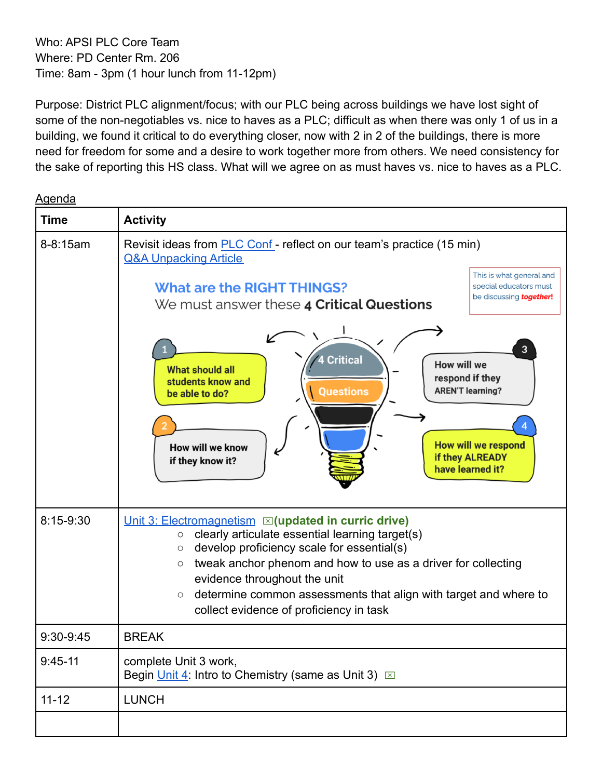Who: APSI PLC Core Team Where: PD Center Rm. 206 Time: 8am - 3pm (1 hour lunch from 11-12pm)

Purpose: District PLC alignment/focus; with our PLC being across buildings we have lost sight of some of the non-negotiables vs. nice to haves as a PLC; difficult as when there was only 1 of us in a building, we found it critical to do everything closer, now with 2 in 2 of the buildings, there is more need for freedom for some and a desire to work together more from others. We need consistency for the sake of reporting this HS class. What will we agree on as must haves vs. nice to haves as a PLC.

Agenda

| <b>Time</b> | <b>Activity</b>                                                                                                                                                                                                                                                                                                                                                                                                             |
|-------------|-----------------------------------------------------------------------------------------------------------------------------------------------------------------------------------------------------------------------------------------------------------------------------------------------------------------------------------------------------------------------------------------------------------------------------|
| 8-8:15am    | Revisit ideas from <b>PLC Conf</b> - reflect on our team's practice (15 min)<br><b>Q&amp;A Unpacking Article</b><br>This is what general and<br><b>What are the RIGHT THINGS?</b><br>special educators must<br>be discussing <b>together!</b>                                                                                                                                                                               |
|             | We must answer these 4 Critical Questions<br>$\overline{3}$<br><b>Critical</b><br><b>How will we</b><br><b>What should all</b><br>respond if they<br>students know and<br><b>AREN'T learning?</b><br><b>Questions</b><br>be able to do?<br><b>How will we respond</b><br>How will we know<br>if they ALREADY<br>if they know it?<br>have learned it?                                                                        |
| 8:15-9:30   | Unit 3: Electromagnetism $\boxtimes$ (updated in curric drive)<br>clearly articulate essential learning target(s)<br>$\circ$<br>develop proficiency scale for essential(s)<br>$\circ$<br>tweak anchor phenom and how to use as a driver for collecting<br>$\circ$<br>evidence throughout the unit<br>determine common assessments that align with target and where to<br>$\circ$<br>collect evidence of proficiency in task |
| 9:30-9:45   | <b>BREAK</b>                                                                                                                                                                                                                                                                                                                                                                                                                |
| $9:45-11$   | complete Unit 3 work,<br>Begin <i>Unit 4</i> : Intro to Chemistry (same as Unit 3) $\boxed{\times}$                                                                                                                                                                                                                                                                                                                         |
| $11 - 12$   | <b>LUNCH</b>                                                                                                                                                                                                                                                                                                                                                                                                                |
|             |                                                                                                                                                                                                                                                                                                                                                                                                                             |